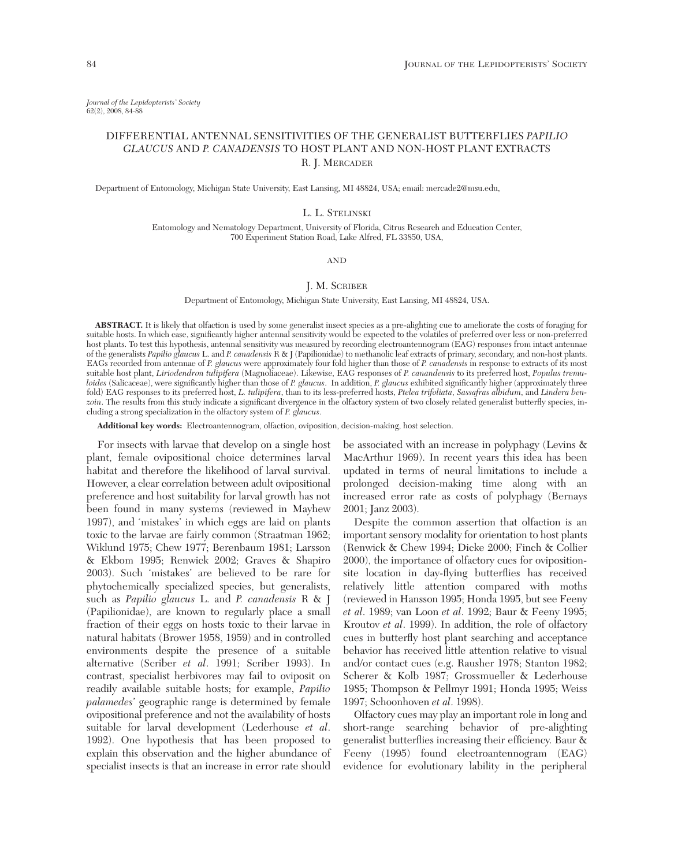*Journal of the Lepidopterists' Society* 62(2), 2008, 84-88

# DIFFERENTIAL ANTENNAL SENSITIVITIES OF THE GENERALIST BUTTERFLIES *PAPILIO GLAUCUS* AND *P. CANADENSIS* TO HOST PLANT AND NON-HOST PLANT EXTRACTS R. J. MERCADER

Department of Entomology, Michigan State University, East Lansing, MI 48824, USA; email: mercade2@msu.edu,

### L. L. STELINSKI

Entomology and Nematology Department, University of Florida, Citrus Research and Education Center, 700 Experiment Station Road, Lake Alfred, FL 33850, USA,

AND

# J. M. SCRIBER

Department of Entomology, Michigan State University, East Lansing, MI 48824, USA.

**ABSTRACT.** It is likely that olfaction is used by some generalist insect species as a pre-alighting cue to ameliorate the costs of foraging for suitable hosts. In which case, significantly higher antennal sensitivity would be expected to the volatiles of preferred over less or non-preferred host plants. To test this hypothesis, antennal sensitivity was measured by recording electroantennogram (EAG) responses from intact antennae of the generalists *Papilio glaucus* L. and *P. canadensis* R & J (Papilionidae) to methanolic leaf extracts of primary, secondary, and non-host plants. EAGs recorded from antennae of *P. glaucus* were approximately four fold higher than those of *P. canadensis* in response to extracts of its most suitable host plant, *Liriodendron tulipifera* (Magnoliaceae). Likewise, EAG responses of *P. canandensis* to its preferred host, *Populus tremuloides* (Salicaceae), were significantly higher than those of *P. glaucus*. In addition, *P. glaucus* exhibited significantly higher (approximately three fold) EAG responses to its preferred host, *L. tulipifera*, than to its less-preferred hosts, *Ptelea trifoliata*, *Sassafras albidum*, and *Lindera benzoin*. The results from this study indicate a significant divergence in the olfactory system of two closely related generalist butterfly species, including a strong specialization in the olfactory system of *P. glaucus*.

**Additional key words:** Electroantennogram, olfaction, oviposition, decision-making, host selection.

For insects with larvae that develop on a single host plant, female ovipositional choice determines larval habitat and therefore the likelihood of larval survival. However, a clear correlation between adult ovipositional preference and host suitability for larval growth has not been found in many systems (reviewed in Mayhew 1997), and 'mistakes' in which eggs are laid on plants toxic to the larvae are fairly common (Straatman 1962; Wiklund 1975; Chew 1977; Berenbaum 1981; Larsson & Ekbom 1995; Renwick 2002; Graves & Shapiro 2003). Such 'mistakes' are believed to be rare for phytochemically specialized species, but generalists, such as *Papilio glaucus* L. and *P. canadensis* R & J (Papilionidae), are known to regularly place a small fraction of their eggs on hosts toxic to their larvae in natural habitats (Brower 1958, 1959) and in controlled environments despite the presence of a suitable alternative (Scriber *et al*. 1991; Scriber 1993). In contrast, specialist herbivores may fail to oviposit on readily available suitable hosts; for example, *Papilio palamedes*' geographic range is determined by female ovipositional preference and not the availability of hosts suitable for larval development (Lederhouse *et al*. 1992). One hypothesis that has been proposed to explain this observation and the higher abundance of specialist insects is that an increase in error rate should

be associated with an increase in polyphagy (Levins & MacArthur 1969). In recent years this idea has been updated in terms of neural limitations to include a prolonged decision-making time along with an increased error rate as costs of polyphagy (Bernays 2001; Janz 2003).

Despite the common assertion that olfaction is an important sensory modality for orientation to host plants (Renwick & Chew 1994; Dicke 2000; Finch & Collier 2000), the importance of olfactory cues for ovipositionsite location in day-flying butterflies has received relatively little attention compared with moths (reviewed in Hansson 1995; Honda 1995, but see Feeny *et al*. 1989; van Loon *et al*. 1992; Baur & Feeny 1995; Kroutov *et al*. 1999). In addition, the role of olfactory cues in butterfly host plant searching and acceptance behavior has received little attention relative to visual and/or contact cues (e.g. Rausher 1978; Stanton 1982; Scherer & Kolb 1987; Grossmueller & Lederhouse 1985; Thompson & Pellmyr 1991; Honda 1995; Weiss 1997; Schoonhoven *et al*. 1998).

Olfactory cues may play an important role in long and short-range searching behavior of pre-alighting generalist butterflies increasing their efficiency. Baur & Feeny (1995) found electroantennogram (EAG) evidence for evolutionary lability in the peripheral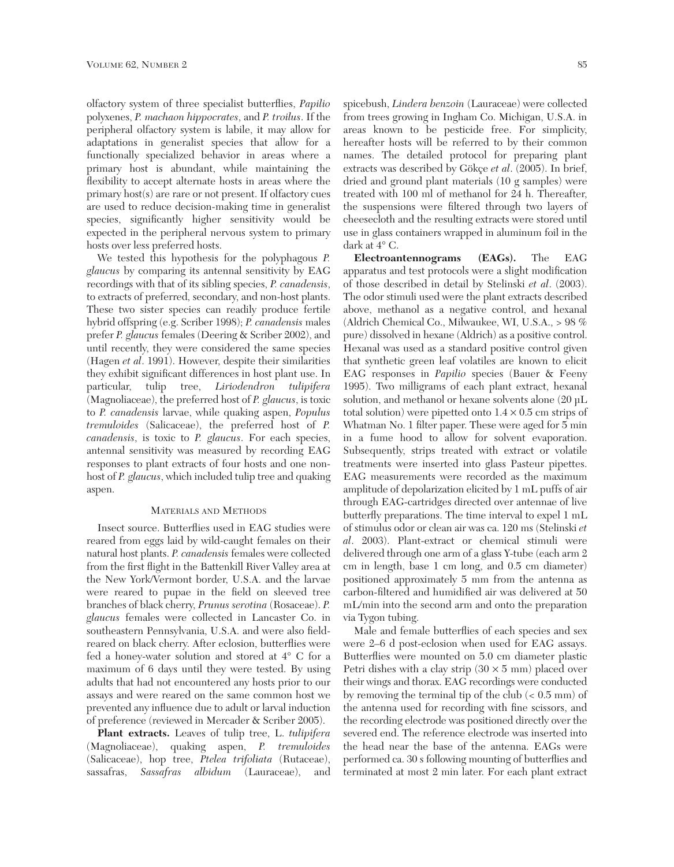olfactory system of three specialist butterflies, *Papilio* polyxenes, *P. machaon hippocrates*, and *P. troilus*. If the peripheral olfactory system is labile, it may allow for adaptations in generalist species that allow for a functionally specialized behavior in areas where a primary host is abundant, while maintaining the flexibility to accept alternate hosts in areas where the primary host(s) are rare or not present. If olfactory cues are used to reduce decision-making time in generalist species, significantly higher sensitivity would be expected in the peripheral nervous system to primary hosts over less preferred hosts.

We tested this hypothesis for the polyphagous *P. glaucus* by comparing its antennal sensitivity by EAG recordings with that of its sibling species, *P. canadensis*, to extracts of preferred, secondary, and non-host plants. These two sister species can readily produce fertile hybrid offspring (e.g. Scriber 1998); *P. canadensis* males prefer *P. glaucus* females (Deering & Scriber 2002), and until recently, they were considered the same species (Hagen *et al*. 1991). However, despite their similarities they exhibit significant differences in host plant use. In particular, tulip tree, *Liriodendron tulipifera* (Magnoliaceae), the preferred host of *P. glaucus*, is toxic to *P. canadensis* larvae, while quaking aspen, *Populus tremuloides* (Salicaceae), the preferred host of *P. canadensis*, is toxic to *P. glaucus*. For each species, antennal sensitivity was measured by recording EAG responses to plant extracts of four hosts and one nonhost of *P. glaucus*, which included tulip tree and quaking aspen.

# MATERIALS AND METHODS

Insect source. Butterflies used in EAG studies were reared from eggs laid by wild-caught females on their natural host plants. *P. canadensis* females were collected from the first flight in the Battenkill River Valley area at the New York/Vermont border, U.S.A. and the larvae were reared to pupae in the field on sleeved tree branches of black cherry, *Prunus serotina* (Rosaceae). *P. glaucus* females were collected in Lancaster Co. in southeastern Pennsylvania, U.S.A. and were also fieldreared on black cherry. After eclosion, butterflies were fed a honey-water solution and stored at 4° C for a maximum of 6 days until they were tested. By using adults that had not encountered any hosts prior to our assays and were reared on the same common host we prevented any influence due to adult or larval induction of preference (reviewed in Mercader & Scriber 2005).

**Plant extracts.** Leaves of tulip tree, L. *tulipifera* (Magnoliaceae), quaking aspen, *P. tremuloides* (Salicaceae), hop tree, *Ptelea trifoliata* (Rutaceae), sassafras, *Sassafras albidum* (Lauraceae), and

spicebush, *Lindera benzoin* (Lauraceae) were collected from trees growing in Ingham Co. Michigan, U.S.A. in areas known to be pesticide free. For simplicity, hereafter hosts will be referred to by their common names. The detailed protocol for preparing plant extracts was described by Gökçe *et al*. (2005). In brief, dried and ground plant materials (10 g samples) were treated with 100 ml of methanol for 24 h. Thereafter, the suspensions were filtered through two layers of cheesecloth and the resulting extracts were stored until use in glass containers wrapped in aluminum foil in the dark at 4° C.

**Electroantennograms (EAGs).** The EAG apparatus and test protocols were a slight modification of those described in detail by Stelinski *et al*. (2003). The odor stimuli used were the plant extracts described above, methanol as a negative control, and hexanal (Aldrich Chemical Co., Milwaukee, WI, U.S.A., > 98 % pure) dissolved in hexane (Aldrich) as a positive control. Hexanal was used as a standard positive control given that synthetic green leaf volatiles are known to elicit EAG responses in *Papilio* species (Bauer & Feeny 1995). Two milligrams of each plant extract, hexanal solution, and methanol or hexane solvents alone (20 µL total solution) were pipetted onto  $1.4 \times 0.5$  cm strips of Whatman No. 1 filter paper. These were aged for 5 min in a fume hood to allow for solvent evaporation. Subsequently, strips treated with extract or volatile treatments were inserted into glass Pasteur pipettes. EAG measurements were recorded as the maximum amplitude of depolarization elicited by 1 mL puffs of air through EAG-cartridges directed over antennae of live butterfly preparations. The time interval to expel 1 mL of stimulus odor or clean air was ca. 120 ms (Stelinski *et al*. 2003). Plant-extract or chemical stimuli were delivered through one arm of a glass Y-tube (each arm 2 cm in length, base 1 cm long, and 0.5 cm diameter) positioned approximately 5 mm from the antenna as carbon-filtered and humidified air was delivered at 50 mL/min into the second arm and onto the preparation via Tygon tubing.

Male and female butterflies of each species and sex were 2–6 d post-eclosion when used for EAG assays. Butterflies were mounted on 5.0 cm diameter plastic Petri dishes with a clay strip  $(30 \times 5 \text{ mm})$  placed over their wings and thorax. EAG recordings were conducted by removing the terminal tip of the club (< 0.5 mm) of the antenna used for recording with fine scissors, and the recording electrode was positioned directly over the severed end. The reference electrode was inserted into the head near the base of the antenna. EAGs were performed ca. 30 s following mounting of butterflies and terminated at most 2 min later. For each plant extract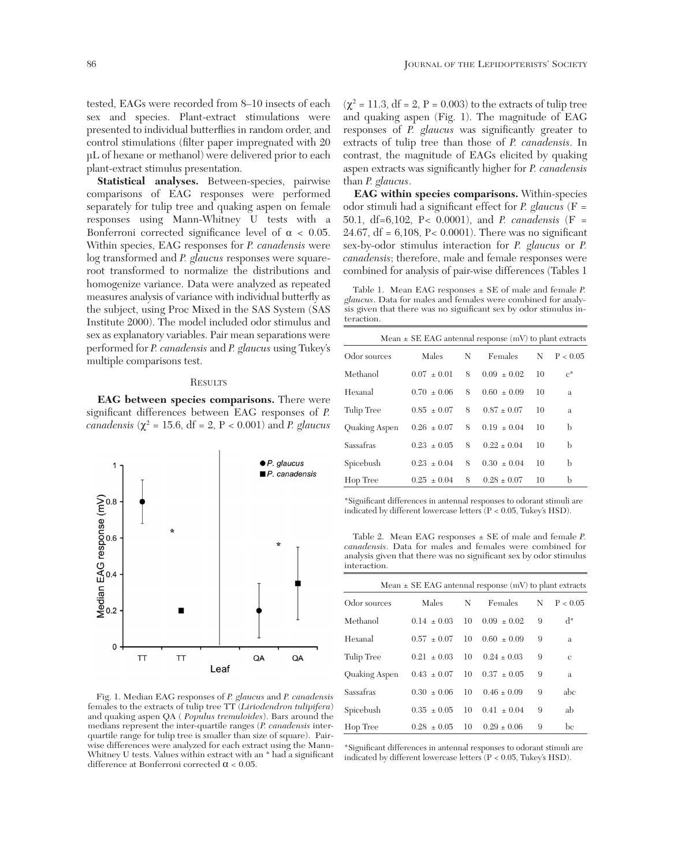tested, EAGs were recorded from 8–10 insects of each sex and species. Plant-extract stimulations were presented to individual butterflies in random order, and control stimulations (filter paper impregnated with 20 µL of hexane or methanol) were delivered prior to each plant-extract stimulus presentation.

**Statistical analyses.** Between-species, pairwise comparisons of EAG responses were performed separately for tulip tree and quaking aspen on female responses using Mann-Whitney U tests with a Bonferroni corrected significance level of  $\alpha < 0.05$ . Within species, EAG responses for *P. canadensis* were log transformed and *P. glaucus* responses were squareroot transformed to normalize the distributions and homogenize variance. Data were analyzed as repeated measures analysis of variance with individual butterfly as the subject, using Proc Mixed in the SAS System (SAS Institute 2000). The model included odor stimulus and sex as explanatory variables. Pair mean separations were performed for *P. canadensis* and *P. glaucus* using Tukey's multiple comparisons test.

#### **RESULTS**

**EAG between species comparisons.** There were significant differences between EAG responses of *P. canadensis* ( $\chi^2$  = 15.6, df = 2, P < 0.001) and *P. glaucus* 



Fig. 1. Median EAG responses of *P. glaucus* and *P. canadensis* females to the extracts of tulip tree TT (*Liriodendron tulipifera*) and quaking aspen QA ( *Populus tremuloides*). Bars around the medians represent the inter-quartile ranges (*P. canadensis* interquartile range for tulip tree is smaller than size of square). Pairwise differences were analyzed for each extract using the Mann-Whitney U tests. Values within extract with an  $*$  had a significant difference at Bonferroni corrected  $\alpha$  < 0.05.

 $(\chi^2 = 11.3, df = 2, P = 0.003)$  to the extracts of tulip tree and quaking aspen (Fig. 1). The magnitude of EAG responses of *P. glaucus* was significantly greater to extracts of tulip tree than those of *P. canadensis*. In contrast, the magnitude of EAGs elicited by quaking aspen extracts was significantly higher for *P. canadensis* than *P. glaucus*.

**EAG within species comparisons.** Within-species odor stimuli had a significant effect for *P. glaucus* (F = 50.1, df=6,102, P< 0.0001), and *P. canadensis* (F = 24.67, df = 6,108, P< 0.0001). There was no significant sex-by-odor stimulus interaction for *P. glaucus* or *P. canadensis*; therefore, male and female responses were combined for analysis of pair-wise differences (Tables 1

Table 1. Mean EAG responses ± SE of male and female *P. glaucus*. Data for males and females were combined for analysis given that there was no significant sex by odor stimulus interaction.

| Mean $\pm$ SE EAG antennal response (mV) to plant extracts |                 |   |                 |    |            |  |  |  |
|------------------------------------------------------------|-----------------|---|-----------------|----|------------|--|--|--|
| Odor sources                                               | Males           | N | Females         | N  | P < 0.05   |  |  |  |
| Methanol                                                   | $0.07 + 0.01$   | 8 | $0.09 + 0.02$   | 10 | $e^{\Phi}$ |  |  |  |
| Hexanal                                                    | $0.70 + 0.06$   | 8 | $0.60 \pm 0.09$ | 10 | a          |  |  |  |
| Tulip Tree                                                 | $0.85 + 0.07$   | 8 | $0.87 + 0.07$   | 10 | a          |  |  |  |
| Quaking Aspen                                              | $0.26 + 0.07$   | 8 | $0.19 \pm 0.04$ | 10 | b          |  |  |  |
| Sassafras                                                  | $0.23 + 0.05$   | 8 | $0.22 + 0.04$   | 10 | h          |  |  |  |
| Spicebush                                                  | $0.23 \pm 0.04$ | 8 | $0.30 + 0.04$   | 10 | b          |  |  |  |
| Hop Tree                                                   | $0.25 + 0.04$   | 8 | $0.28 + 0.07$   | 10 | b          |  |  |  |

\*Significant differences in antennal responses to odorant stimuli are indicated by different lowercase letters  $(P < 0.05$ , Tukey's HSD).

Table 2. Mean EAG responses ± SE of male and female *P. canadensis*. Data for males and females were combined for analysis given that there was no significant sex by odor stimulus interaction.

| Mean $\pm$ SE EAG antennal response (mV) to plant extracts |                 |    |                 |   |          |  |  |
|------------------------------------------------------------|-----------------|----|-----------------|---|----------|--|--|
| Odor sources                                               | Males           | N  | Females         | N | P < 0.05 |  |  |
| Methanol                                                   | $0.14 + 0.03$   | 10 | $0.09 + 0.02$   | 9 | $d^*$    |  |  |
| Hexanal                                                    | $0.57 + 0.07$   | 10 | $0.60 + 0.09$   | 9 | a        |  |  |
| Tulip Tree                                                 | $0.21 + 0.03$   | 10 | $0.24 \pm 0.03$ | 9 | e        |  |  |
| Quaking Aspen                                              | $0.43 + 0.07$   | 10 | $0.37 + 0.05$   | 9 | a        |  |  |
| Sassafras                                                  | $0.30 + 0.06$   | 10 | $0.46 + 0.09$   | 9 | abc      |  |  |
| Spicebush                                                  | $0.35 + 0.05$   | 10 | $0.41 + 0.04$   | 9 | ab       |  |  |
| Hop Tree                                                   | $0.28 \pm 0.05$ | 10 | $0.29 + 0.06$   | 9 | bс       |  |  |

\*Significant differences in antennal responses to odorant stimuli are indicated by different lowercase letters (P < 0.05, Tukey's HSD).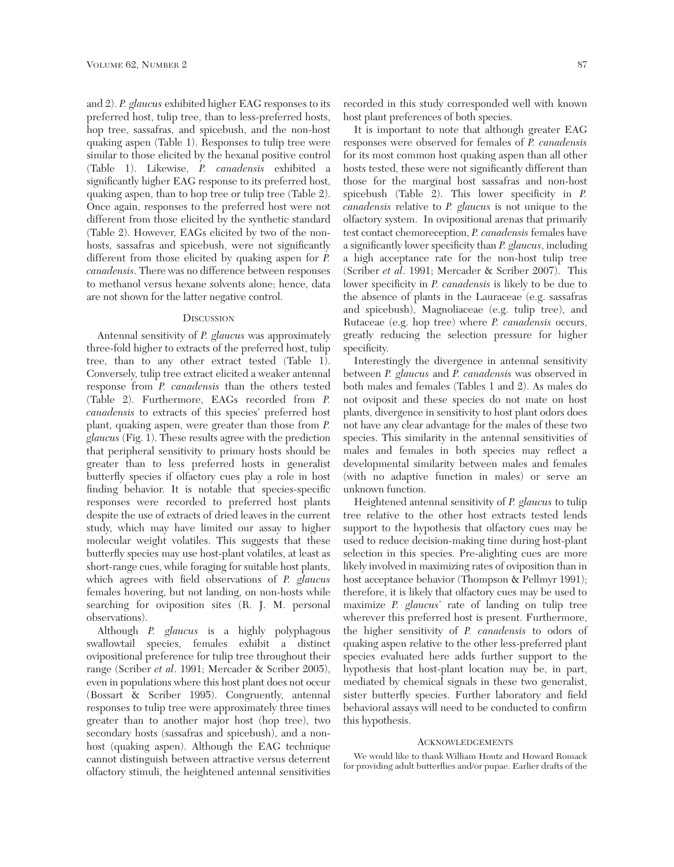and 2). *P. glaucus* exhibited higher EAG responses to its preferred host, tulip tree, than to less-preferred hosts, hop tree, sassafras, and spicebush, and the non-host quaking aspen (Table 1). Responses to tulip tree were similar to those elicited by the hexanal positive control (Table 1). Likewise, *P. canadensis* exhibited a significantly higher EAG response to its preferred host, quaking aspen, than to hop tree or tulip tree (Table 2). Once again, responses to the preferred host were not different from those elicited by the synthetic standard (Table 2). However, EAGs elicited by two of the nonhosts, sassafras and spicebush, were not significantly different from those elicited by quaking aspen for *P. canadensis*. There was no difference between responses to methanol versus hexane solvents alone; hence, data are not shown for the latter negative control.

## **DISCUSSION**

Antennal sensitivity of *P. glaucus* was approximately three-fold higher to extracts of the preferred host, tulip tree, than to any other extract tested (Table 1). Conversely, tulip tree extract elicited a weaker antennal response from *P. canadensis* than the others tested (Table 2). Furthermore, EAGs recorded from *P. canadensis* to extracts of this species' preferred host plant, quaking aspen, were greater than those from *P. glaucus* (Fig. 1). These results agree with the prediction that peripheral sensitivity to primary hosts should be greater than to less preferred hosts in generalist butterfly species if olfactory cues play a role in host finding behavior. It is notable that species-specific responses were recorded to preferred host plants despite the use of extracts of dried leaves in the current study, which may have limited our assay to higher molecular weight volatiles. This suggests that these butterfly species may use host-plant volatiles, at least as short-range cues, while foraging for suitable host plants, which agrees with field observations of *P. glaucus* females hovering, but not landing, on non-hosts while searching for oviposition sites (R. J. M. personal observations).

Although *P. glaucus* is a highly polyphagous swallowtail species, females exhibit a distinct ovipositional preference for tulip tree throughout their range (Scriber *et al*. 1991; Mercader & Scriber 2005), even in populations where this host plant does not occur (Bossart & Scriber 1995). Congruently, antennal responses to tulip tree were approximately three times greater than to another major host (hop tree), two secondary hosts (sassafras and spicebush), and a nonhost (quaking aspen). Although the EAG technique cannot distinguish between attractive versus deterrent olfactory stimuli, the heightened antennal sensitivities

recorded in this study corresponded well with known host plant preferences of both species.

It is important to note that although greater EAG responses were observed for females of *P. canadensis* for its most common host quaking aspen than all other hosts tested, these were not significantly different than those for the marginal host sassafras and non-host spicebush (Table 2). This lower specificity in *P. canadensis* relative to *P. glaucus* is not unique to the olfactory system. In ovipositional arenas that primarily test contact chemoreception, *P. canadensis* females have a significantly lower specificity than *P. glaucus*, including a high acceptance rate for the non-host tulip tree (Scriber *et al*. 1991; Mercader & Scriber 2007). This lower specificity in *P. canadensis* is likely to be due to the absence of plants in the Lauraceae (e.g. sassafras and spicebush), Magnoliaceae (e.g. tulip tree), and Rutaceae (e.g. hop tree) where *P. canadensis* occurs, greatly reducing the selection pressure for higher specificity.

Interestingly the divergence in antennal sensitivity between *P. glaucus* and *P. canadensis* was observed in both males and females (Tables 1 and 2). As males do not oviposit and these species do not mate on host plants, divergence in sensitivity to host plant odors does not have any clear advantage for the males of these two species. This similarity in the antennal sensitivities of males and females in both species may reflect a developmental similarity between males and females (with no adaptive function in males) or serve an unknown function.

Heightened antennal sensitivity of *P. glaucus* to tulip tree relative to the other host extracts tested lends support to the hypothesis that olfactory cues may be used to reduce decision-making time during host-plant selection in this species. Pre-alighting cues are more likely involved in maximizing rates of oviposition than in host acceptance behavior (Thompson & Pellmyr 1991); therefore, it is likely that olfactory cues may be used to maximize *P. glaucus*' rate of landing on tulip tree wherever this preferred host is present. Furthermore, the higher sensitivity of *P. canadensis* to odors of quaking aspen relative to the other less-preferred plant species evaluated here adds further support to the hypothesis that host-plant location may be, in part, mediated by chemical signals in these two generalist, sister butterfly species. Further laboratory and field behavioral assays will need to be conducted to confirm this hypothesis.

### ACKNOWLEDGEMENTS

We would like to thank William Houtz and Howard Romack for providing adult butterflies and/or pupae. Earlier drafts of the